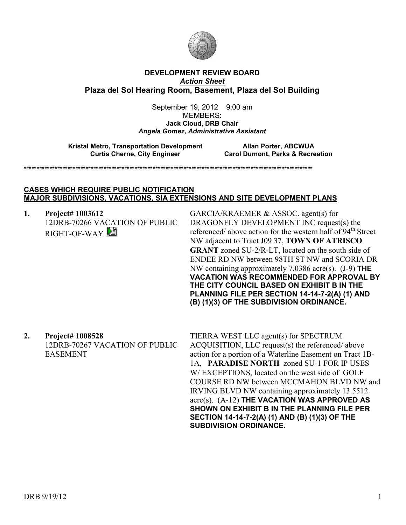

### **DEVELOPMENT REVIEW BOARD**  *Action Sheet* **Plaza del Sol Hearing Room, Basement, Plaza del Sol Building**

September 19, 2012 9:00 am MEMBERS: **Jack Cloud, DRB Chair**  *Angela Gomez, Administrative Assistant* 

**Kristal Metro, Transportation Development** Allan Porter, ABCWUA<br>Curtis Cherne, City Engineer Carol Dumont, Parks & Recre

**Carol Dumont, Parks & Recreation** 

\*\*\*\*\*\*\*\*\*\*\*\*\*\*\*\*\*\*\*\*\*\*\*\*\*\*\*\*\*\*\*\*\*\*\*\*\*\*\*\*\*\*\*\*\*\*\*\*\*\*\*\*\*\*\*\*\*\*\*\*\*\*\*\*\*\*\*\*\*\*\*\*\*\*\*\*\*\*\*\*\*\*\*\*\*\*\*\*\*\*\*\*\*\*\*\*\*\*\*\*\*\*\*\*\*\*\*\*\*\*\*\*

#### **CASES WHICH REQUIRE PUBLIC NOTIFICATION MAJOR SUBDIVISIONS, VACATIONS, SIA EXTENSIONS AND SITE DEVELOPMENT PLANS**

**1. Project# 1003612** 12DRB-70266 VACATION OF PUBLIC RIGHT-OF-WAY

GARCIA/KRAEMER & ASSOC. agent(s) for DRAGONFLY DEVELOPMENT INC request(s) the referenced/ above action for the western half of 94<sup>th</sup> Street NW adjacent to Tract J09 37, **TOWN OF ATRISCO GRANT** zoned SU-2/R-LT, located on the south side of ENDEE RD NW between 98TH ST NW and SCORIA DR NW containing approximately 7.0386 acre(s). (J-9) **THE VACATION WAS RECOMMENDED FOR APPROVAL BY THE CITY COUNCIL BASED ON EXHIBIT B IN THE PLANNING FILE PER SECTION 14-14-7-2(A) (1) AND (B) (1)(3) OF THE SUBDIVISION ORDINANCE.** 

**2. Project# 1008528**

12DRB-70267 VACATION OF PUBLIC EASEMENT

TIERRA WEST LLC agent(s) for SPECTRUM ACQUISITION, LLC request(s) the referenced/ above action for a portion of a Waterline Easement on Tract 1B-1A, **PARADISE NORTH** zoned SU-1 FOR IP USES W/ EXCEPTIONS, located on the west side of GOLF COURSE RD NW between MCCMAHON BLVD NW and IRVING BLVD NW containing approximately 13.5512 acre(s). (A-12) **THE VACATION WAS APPROVED AS SHOWN ON EXHIBIT B IN THE PLANNING FILE PER SECTION 14-14-7-2(A) (1) AND (B) (1)(3) OF THE SUBDIVISION ORDINANCE.**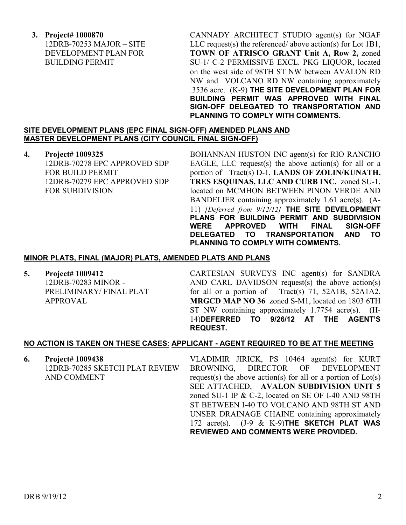**3. Project# 1000870** 12DRB-70253 MAJOR – SITE DEVELOPMENT PLAN FOR BUILDING PERMIT

CANNADY ARCHITECT STUDIO agent(s) for NGAF LLC request(s) the referenced/ above action(s) for Lot 1B1, **TOWN OF ATRISCO GRANT Unit A, Row 2,** zoned SU-1/ C-2 PERMISSIVE EXCL. PKG LIQUOR, located on the west side of 98TH ST NW between AVALON RD NW and VOLCANO RD NW containing approximately .3536 acre. (K-9) **THE SITE DEVELOPMENT PLAN FOR BUILDING PERMIT WAS APPROVED WITH FINAL SIGN-OFF DELEGATED TO TRANSPORTATION AND PLANNING TO COMPLY WITH COMMENTS.**

## **SITE DEVELOPMENT PLANS (EPC FINAL SIGN-OFF) AMENDED PLANS AND MASTER DEVELOPMENT PLANS (CITY COUNCIL FINAL SIGN-OFF)**

**4. Project# 1009325** 12DRB-70278 EPC APPROVED SDP FOR BUILD PERMIT 12DRB-70279 EPC APPROVED SDP FOR SUBDIVISION

BOHANNAN HUSTON INC agent(s) for RIO RANCHO EAGLE, LLC request(s) the above action(s) for all or a portion of Tract(s) D-1, **LANDS OF ZOLIN/KUNATH, TRES ESQUINAS, LLC AND CURB INC.** zoned SU-1, located on MCMHON BETWEEN PINON VERDE AND BANDELIER containing approximately 1.61 acre(s). (A-11) *[Deferred from 9/12/12]* **THE SITE DEVELOPMENT PLANS FOR BUILDING PERMIT AND SUBDIVISION WERE APPROVED WITH FINAL SIGN-OFF DELEGATED TO TRANSPORTATION AND TO PLANNING TO COMPLY WITH COMMENTS.**

### **MINOR PLATS, FINAL (MAJOR) PLATS, AMENDED PLATS AND PLANS**

**5. Project# 1009412**

12DRB-70283 MINOR - PRELIMINARY/ FINAL PLAT APPROVAL

CARTESIAN SURVEYS INC agent(s) for SANDRA AND CARL DAVIDSON request(s) the above action(s) for all or a portion of Tract(s) 71, 52A1B, 52A1A2, **MRGCD MAP NO 36** zoned S-M1, located on 1803 6TH ST NW containing approximately 1.7754 acre(s). (H-14)**DEFERRED TO 9/26/12 AT THE AGENT'S REQUEST.** 

# **NO ACTION IS TAKEN ON THESE CASES**: **APPLICANT - AGENT REQUIRED TO BE AT THE MEETING**

**6. Project# 1009438** 12DRB-70285 SKETCH PLAT REVIEW AND COMMENT

VLADIMIR JIRICK, PS 10464 agent(s) for KURT BROWNING, DIRECTOR OF DEVELOPMENT request(s) the above action(s) for all or a portion of Lot(s) SEE ATTACHED, **AVALON SUBDIVISION UNIT 5**  zoned SU-1 IP & C-2, located on SE OF I-40 AND 98TH ST BETWEEN I-40 TO VOLCANO AND 98TH ST AND UNSER DRAINAGE CHAINE containing approximately 172 acre(s). (J-9 & K-9)**THE SKETCH PLAT WAS REVIEWED AND COMMENTS WERE PROVIDED.**